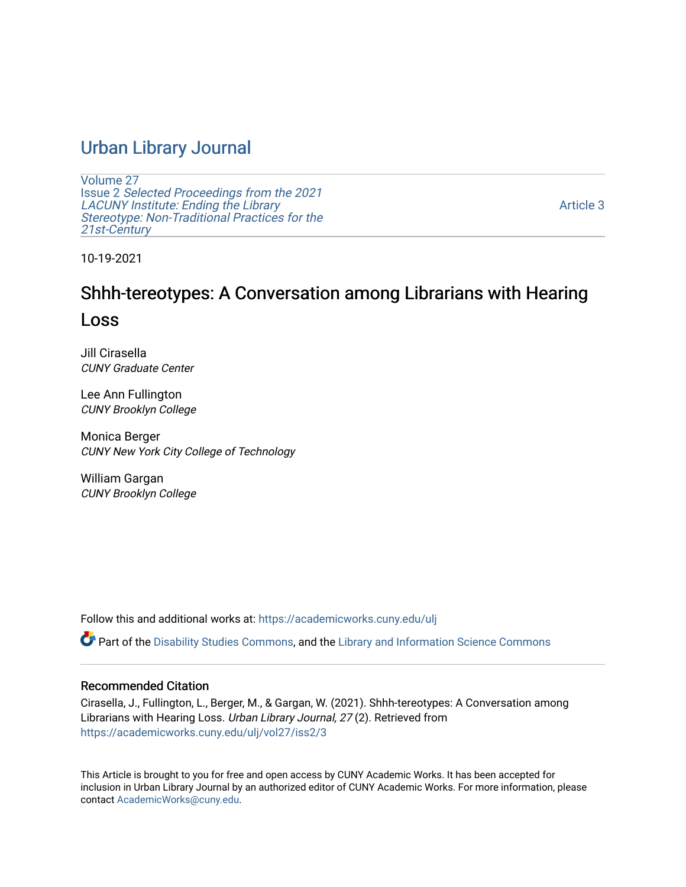# [Urban Library Journal](https://academicworks.cuny.edu/ulj)

[Volume 27](https://academicworks.cuny.edu/ulj/vol27) Issue 2 [Selected Proceedings from the 2021](https://academicworks.cuny.edu/ulj/vol27/iss2)  [LACUNY Institute: Ending the Library](https://academicworks.cuny.edu/ulj/vol27/iss2)  [Stereotype: Non-Traditional Practices for the](https://academicworks.cuny.edu/ulj/vol27/iss2)  [21st-Century](https://academicworks.cuny.edu/ulj/vol27/iss2)

[Article 3](https://academicworks.cuny.edu/ulj/vol27/iss2/3) 

10-19-2021

# Shhh-tereotypes: A Conversation among Librarians with Hearing Loss

Jill Cirasella CUNY Graduate Center

Lee Ann Fullington CUNY Brooklyn College

Monica Berger CUNY New York City College of Technology

William Gargan CUNY Brooklyn College

Follow this and additional works at: [https://academicworks.cuny.edu/ulj](https://academicworks.cuny.edu/ulj?utm_source=academicworks.cuny.edu%2Fulj%2Fvol27%2Fiss2%2F3&utm_medium=PDF&utm_campaign=PDFCoverPages)

Part of the [Disability Studies Commons](http://network.bepress.com/hgg/discipline/1417?utm_source=academicworks.cuny.edu%2Fulj%2Fvol27%2Fiss2%2F3&utm_medium=PDF&utm_campaign=PDFCoverPages), and the Library and Information Science Commons

#### Recommended Citation

Cirasella, J., Fullington, L., Berger, M., & Gargan, W. (2021). Shhh-tereotypes: A Conversation among Librarians with Hearing Loss. Urban Library Journal, 27 (2). Retrieved from [https://academicworks.cuny.edu/ulj/vol27/iss2/3](https://academicworks.cuny.edu/ulj/vol27/iss2/3?utm_source=academicworks.cuny.edu%2Fulj%2Fvol27%2Fiss2%2F3&utm_medium=PDF&utm_campaign=PDFCoverPages) 

This Article is brought to you for free and open access by CUNY Academic Works. It has been accepted for inclusion in Urban Library Journal by an authorized editor of CUNY Academic Works. For more information, please contact [AcademicWorks@cuny.edu.](mailto:AcademicWorks@cuny.edu)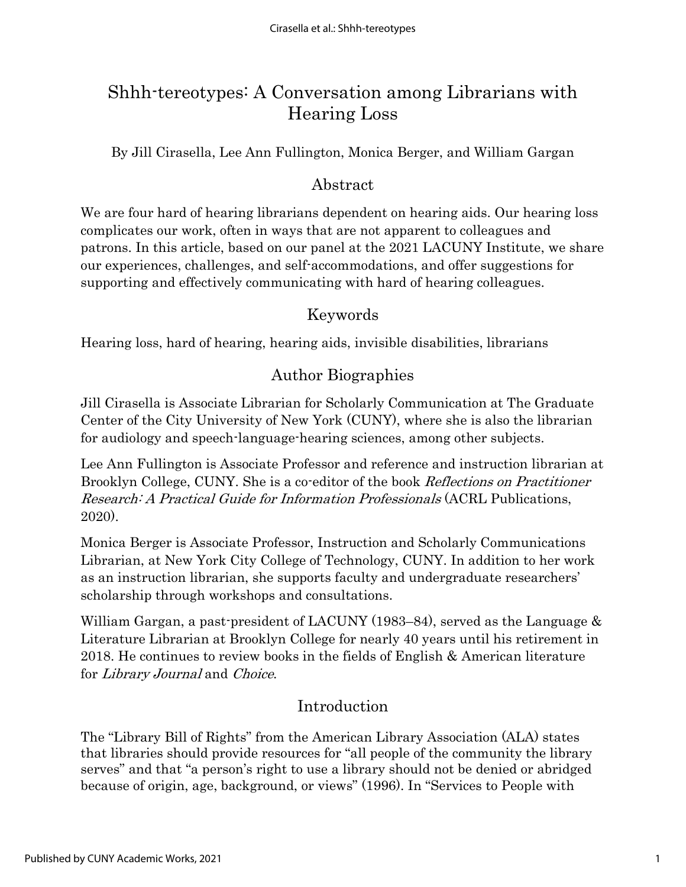# Shhh-tereotypes: A Conversation among Librarians with Hearing Loss

By Jill Cirasella, Lee Ann Fullington, Monica Berger, and William Gargan

### Abstract

We are four hard of hearing librarians dependent on hearing aids. Our hearing loss complicates our work, often in ways that are not apparent to colleagues and patrons. In this article, based on our panel at the 2021 LACUNY Institute, we share our experiences, challenges, and self-accommodations, and offer suggestions for supporting and effectively communicating with hard of hearing colleagues.

### Keywords

Hearing loss, hard of hearing, hearing aids, invisible disabilities, librarians

## Author Biographies

Jill Cirasella is Associate Librarian for Scholarly Communication at The Graduate Center of the City University of New York (CUNY), where she is also the librarian for audiology and speech-language-hearing sciences, among other subjects.

Lee Ann Fullington is Associate Professor and reference and instruction librarian at Brooklyn College, CUNY. She is a co-editor of the book Reflections on Practitioner Research: A Practical Guide for Information Professionals (ACRL Publications, 2020).

Monica Berger is Associate Professor, Instruction and Scholarly Communications Librarian, at New York City College of Technology, CUNY. In addition to her work as an instruction librarian, she supports faculty and undergraduate researchers' scholarship through workshops and consultations.

William Gargan, a past-president of LACUNY (1983–84), served as the Language & Literature Librarian at Brooklyn College for nearly 40 years until his retirement in 2018. He continues to review books in the fields of English & American literature for Library Journal and Choice.

### Introduction

The "Library Bill of Rights" from the American Library Association (ALA) states that libraries should provide resources for "all people of the community the library serves" and that "a person's right to use a library should not be denied or abridged because of origin, age, background, or views" (1996). In "Services to People with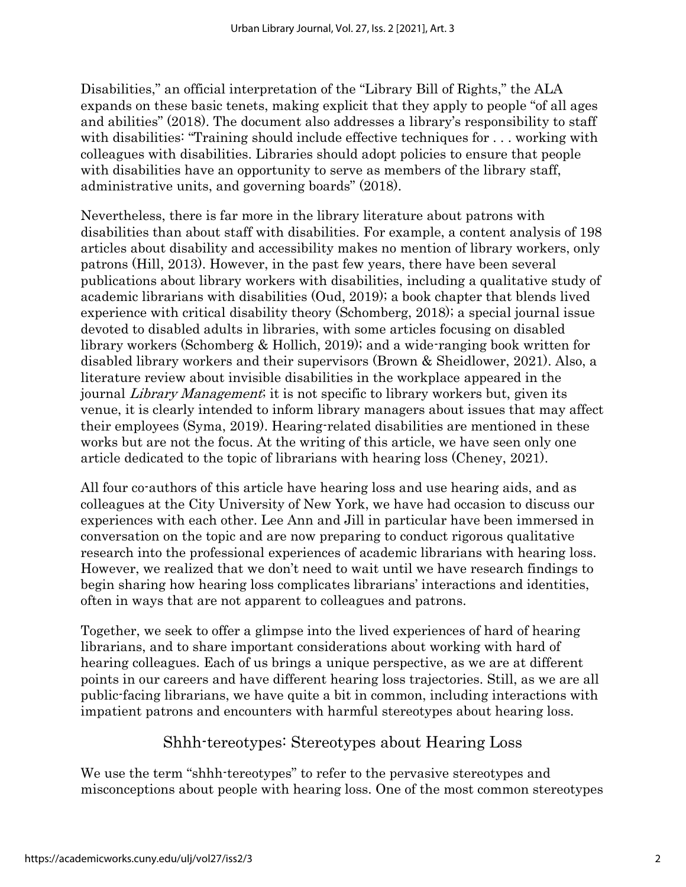Disabilities," an official interpretation of the "Library Bill of Rights," the ALA expands on these basic tenets, making explicit that they apply to people "of all ages and abilities" (2018). The document also addresses a library's responsibility to staff with disabilities: "Training should include effective techniques for . . . working with colleagues with disabilities. Libraries should adopt policies to ensure that people with disabilities have an opportunity to serve as members of the library staff, administrative units, and governing boards" (2018).

Nevertheless, there is far more in the library literature about patrons with disabilities than about staff with disabilities. For example, a content analysis of 198 articles about disability and accessibility makes no mention of library workers, only patrons (Hill, 2013). However, in the past few years, there have been several publications about library workers with disabilities, including a qualitative study of academic librarians with disabilities (Oud, 2019); a book chapter that blends lived experience with critical disability theory (Schomberg, 2018); a special journal issue devoted to disabled adults in libraries, with some articles focusing on disabled library workers (Schomberg & Hollich, 2019); and a wide-ranging book written for disabled library workers and their supervisors (Brown & Sheidlower, 2021). Also, a literature review about invisible disabilities in the workplace appeared in the journal Library Management; it is not specific to library workers but, given its venue, it is clearly intended to inform library managers about issues that may affect their employees (Syma, 2019). Hearing-related disabilities are mentioned in these works but are not the focus. At the writing of this article, we have seen only one article dedicated to the topic of librarians with hearing loss (Cheney, 2021).

All four co-authors of this article have hearing loss and use hearing aids, and as colleagues at the City University of New York, we have had occasion to discuss our experiences with each other. Lee Ann and Jill in particular have been immersed in conversation on the topic and are now preparing to conduct rigorous qualitative research into the professional experiences of academic librarians with hearing loss. However, we realized that we don't need to wait until we have research findings to begin sharing how hearing loss complicates librarians' interactions and identities, often in ways that are not apparent to colleagues and patrons.

Together, we seek to offer a glimpse into the lived experiences of hard of hearing librarians, and to share important considerations about working with hard of hearing colleagues. Each of us brings a unique perspective, as we are at different points in our careers and have different hearing loss trajectories. Still, as we are all public-facing librarians, we have quite a bit in common, including interactions with impatient patrons and encounters with harmful stereotypes about hearing loss.

### Shhh-tereotypes: Stereotypes about Hearing Loss

We use the term "shhh-tereotypes" to refer to the pervasive stereotypes and misconceptions about people with hearing loss. One of the most common stereotypes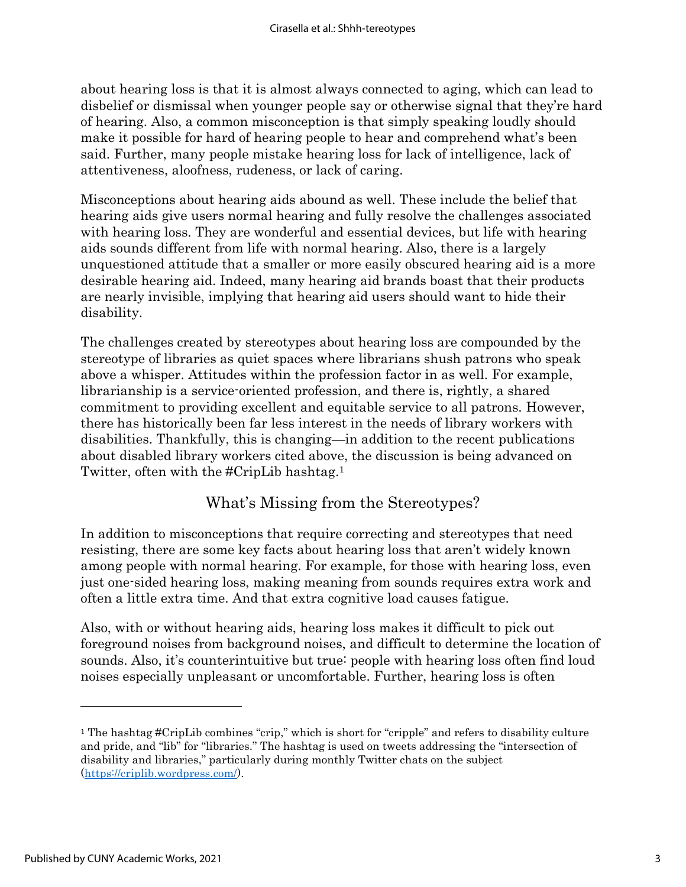about hearing loss is that it is almost always connected to aging, which can lead to disbelief or dismissal when younger people say or otherwise signal that they're hard of hearing. Also, a common misconception is that simply speaking loudly should make it possible for hard of hearing people to hear and comprehend what's been said. Further, many people mistake hearing loss for lack of intelligence, lack of attentiveness, aloofness, rudeness, or lack of caring.

Misconceptions about hearing aids abound as well. These include the belief that hearing aids give users normal hearing and fully resolve the challenges associated with hearing loss. They are wonderful and essential devices, but life with hearing aids sounds different from life with normal hearing. Also, there is a largely unquestioned attitude that a smaller or more easily obscured hearing aid is a more desirable hearing aid. Indeed, many hearing aid brands boast that their products are nearly invisible, implying that hearing aid users should want to hide their disability.

The challenges created by stereotypes about hearing loss are compounded by the stereotype of libraries as quiet spaces where librarians shush patrons who speak above a whisper. Attitudes within the profession factor in as well. For example, librarianship is a service-oriented profession, and there is, rightly, a shared commitment to providing excellent and equitable service to all patrons. However, there has historically been far less interest in the needs of library workers with disabilities. Thankfully, this is changing—in addition to the recent publications about disabled library workers cited above, the discussion is being advanced on Twitter, often with the #CripLib hashtag.<sup>1</sup>

### What's Missing from the Stereotypes?

In addition to misconceptions that require correcting and stereotypes that need resisting, there are some key facts about hearing loss that aren't widely known among people with normal hearing. For example, for those with hearing loss, even just one-sided hearing loss, making meaning from sounds requires extra work and often a little extra time. And that extra cognitive load causes fatigue.

Also, with or without hearing aids, hearing loss makes it difficult to pick out foreground noises from background noises, and difficult to determine the location of sounds. Also, it's counterintuitive but true: people with hearing loss often find loud noises especially unpleasant or uncomfortable. Further, hearing loss is often

<sup>1</sup> The hashtag #CripLib combines "crip," which is short for "cripple" and refers to disability culture and pride, and "lib" for "libraries." The hashtag is used on tweets addressing the "intersection of disability and libraries," particularly during monthly Twitter chats on the subject [\(https://criplib.wordpress.com/\)](https://criplib.wordpress.com/).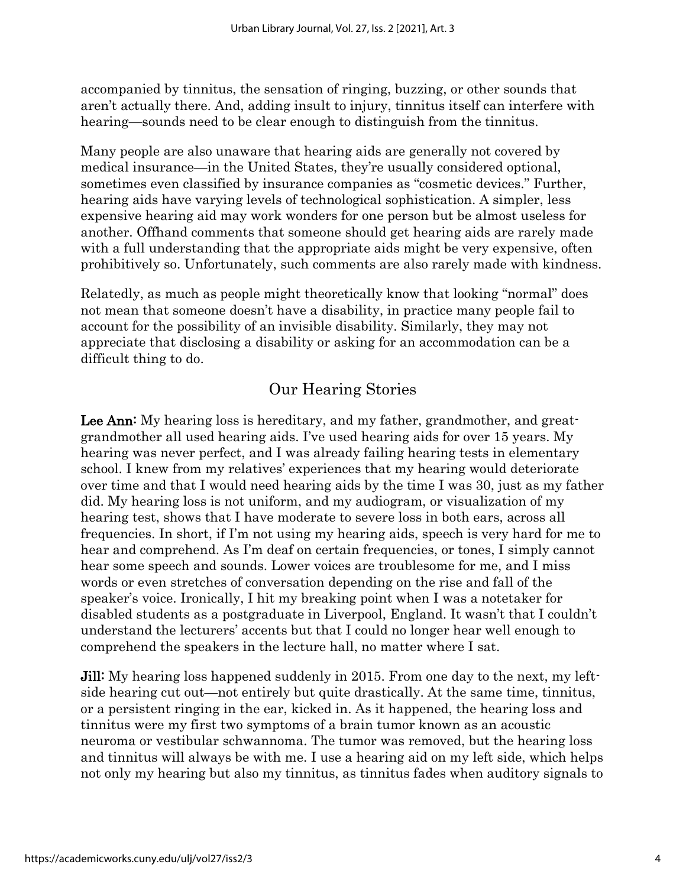accompanied by tinnitus, the sensation of ringing, buzzing, or other sounds that aren't actually there. And, adding insult to injury, tinnitus itself can interfere with hearing—sounds need to be clear enough to distinguish from the tinnitus.

Many people are also unaware that hearing aids are generally not covered by medical insurance—in the United States, they're usually considered optional, sometimes even classified by insurance companies as "cosmetic devices." Further, hearing aids have varying levels of technological sophistication. A simpler, less expensive hearing aid may work wonders for one person but be almost useless for another. Offhand comments that someone should get hearing aids are rarely made with a full understanding that the appropriate aids might be very expensive, often prohibitively so. Unfortunately, such comments are also rarely made with kindness.

Relatedly, as much as people might theoretically know that looking "normal" does not mean that someone doesn't have a disability, in practice many people fail to account for the possibility of an invisible disability. Similarly, they may not appreciate that disclosing a disability or asking for an accommodation can be a difficult thing to do.

### Our Hearing Stories

Lee Ann: My hearing loss is hereditary, and my father, grandmother, and greatgrandmother all used hearing aids. I've used hearing aids for over 15 years. My hearing was never perfect, and I was already failing hearing tests in elementary school. I knew from my relatives' experiences that my hearing would deteriorate over time and that I would need hearing aids by the time I was 30, just as my father did. My hearing loss is not uniform, and my audiogram, or visualization of my hearing test, shows that I have moderate to severe loss in both ears, across all frequencies. In short, if I'm not using my hearing aids, speech is very hard for me to hear and comprehend. As I'm deaf on certain frequencies, or tones, I simply cannot hear some speech and sounds. Lower voices are troublesome for me, and I miss words or even stretches of conversation depending on the rise and fall of the speaker's voice. Ironically, I hit my breaking point when I was a notetaker for disabled students as a postgraduate in Liverpool, England. It wasn't that I couldn't understand the lecturers' accents but that I could no longer hear well enough to comprehend the speakers in the lecture hall, no matter where I sat.

**Jill:** My hearing loss happened suddenly in 2015. From one day to the next, my leftside hearing cut out—not entirely but quite drastically. At the same time, tinnitus, or a persistent ringing in the ear, kicked in. As it happened, the hearing loss and tinnitus were my first two symptoms of a brain tumor known as an acoustic neuroma or vestibular schwannoma. The tumor was removed, but the hearing loss and tinnitus will always be with me. I use a hearing aid on my left side, which helps not only my hearing but also my tinnitus, as tinnitus fades when auditory signals to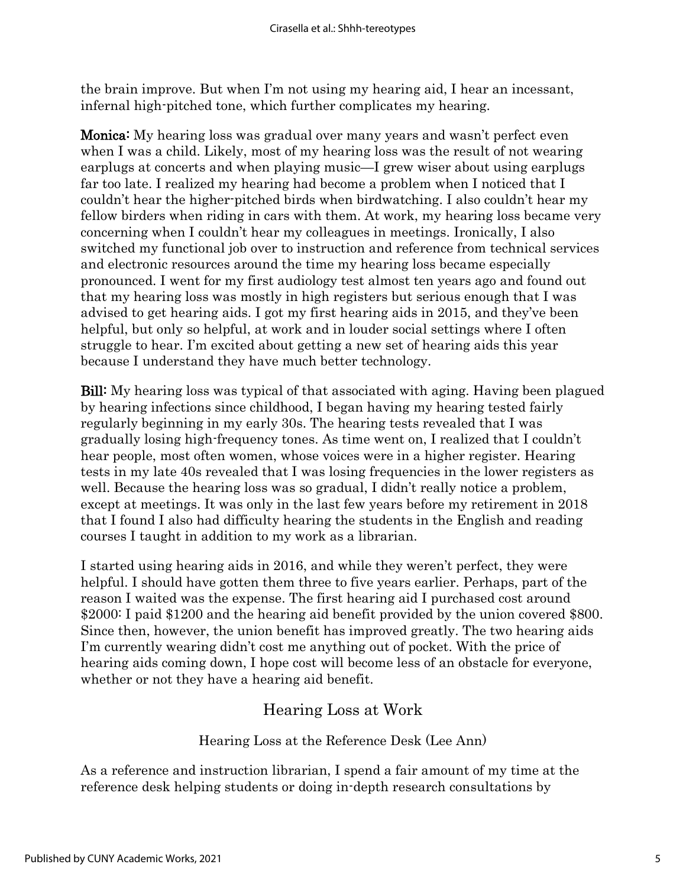the brain improve. But when I'm not using my hearing aid, I hear an incessant, infernal high-pitched tone, which further complicates my hearing.

Monica: My hearing loss was gradual over many years and wasn't perfect even when I was a child. Likely, most of my hearing loss was the result of not wearing earplugs at concerts and when playing music—I grew wiser about using earplugs far too late. I realized my hearing had become a problem when I noticed that I couldn't hear the higher-pitched birds when birdwatching. I also couldn't hear my fellow birders when riding in cars with them. At work, my hearing loss became very concerning when I couldn't hear my colleagues in meetings. Ironically, I also switched my functional job over to instruction and reference from technical services and electronic resources around the time my hearing loss became especially pronounced. I went for my first audiology test almost ten years ago and found out that my hearing loss was mostly in high registers but serious enough that I was advised to get hearing aids. I got my first hearing aids in 2015, and they've been helpful, but only so helpful, at work and in louder social settings where I often struggle to hear. I'm excited about getting a new set of hearing aids this year because I understand they have much better technology.

Bill: My hearing loss was typical of that associated with aging. Having been plagued by hearing infections since childhood, I began having my hearing tested fairly regularly beginning in my early 30s. The hearing tests revealed that I was gradually losing high-frequency tones. As time went on, I realized that I couldn't hear people, most often women, whose voices were in a higher register. Hearing tests in my late 40s revealed that I was losing frequencies in the lower registers as well. Because the hearing loss was so gradual, I didn't really notice a problem, except at meetings. It was only in the last few years before my retirement in 2018 that I found I also had difficulty hearing the students in the English and reading courses I taught in addition to my work as a librarian.

I started using hearing aids in 2016, and while they weren't perfect, they were helpful. I should have gotten them three to five years earlier. Perhaps, part of the reason I waited was the expense. The first hearing aid I purchased cost around \$2000: I paid \$1200 and the hearing aid benefit provided by the union covered \$800. Since then, however, the union benefit has improved greatly. The two hearing aids I'm currently wearing didn't cost me anything out of pocket. With the price of hearing aids coming down, I hope cost will become less of an obstacle for everyone, whether or not they have a hearing aid benefit.

# Hearing Loss at Work

#### Hearing Loss at the Reference Desk (Lee Ann)

As a reference and instruction librarian, I spend a fair amount of my time at the reference desk helping students or doing in-depth research consultations by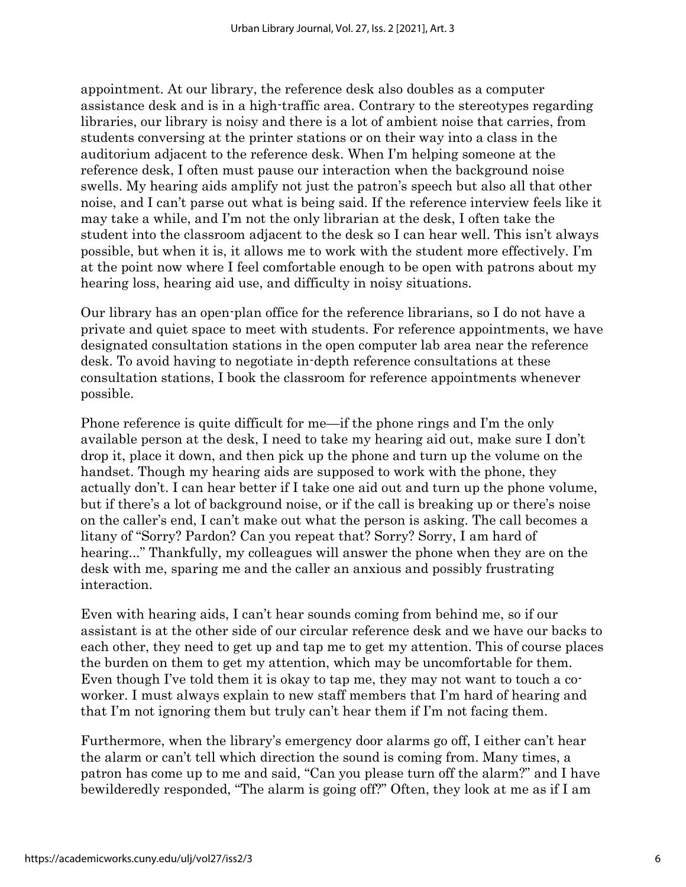appointment. At our library, the reference desk also doubles as a computer assistance desk and is in a high-traffic area. Contrary to the stereotypes regarding libraries, our library is noisy and there is a lot of ambient noise that carries, from students conversing at the printer stations or on their way into a class in the auditorium adjacent to the reference desk. When I'm helping someone at the reference desk, I often must pause our interaction when the background noise swells. My hearing aids amplify not just the patron's speech but also all that other noise, and I can't parse out what is being said. If the reference interview feels like it may take a while, and I'm not the only librarian at the desk, I often take the student into the classroom adjacent to the desk so I can hear well. This isn't always possible, but when it is, it allows me to work with the student more effectively. I'm at the point now where I feel comfortable enough to be open with patrons about my hearing loss, hearing aid use, and difficulty in noisy situations.

Our library has an open-plan office for the reference librarians, so I do not have a private and quiet space to meet with students. For reference appointments, we have designated consultation stations in the open computer lab area near the reference desk. To avoid having to negotiate in-depth reference consultations at these consultation stations, I book the classroom for reference appointments whenever possible.

Phone reference is quite difficult for me—if the phone rings and I'm the only available person at the desk, I need to take my hearing aid out, make sure I don't drop it, place it down, and then pick up the phone and turn up the volume on the handset. Though my hearing aids are supposed to work with the phone, they actually don't. I can hear better if I take one aid out and turn up the phone volume, but if there's a lot of background noise, or if the call is breaking up or there's noise on the caller's end, I can't make out what the person is asking. The call becomes a litany of "Sorry? Pardon? Can you repeat that? Sorry? Sorry, I am hard of hearing..." Thankfully, my colleagues will answer the phone when they are on the desk with me, sparing me and the caller an anxious and possibly frustrating interaction.

Even with hearing aids, I can't hear sounds coming from behind me, so if our assistant is at the other side of our circular reference desk and we have our backs to each other, they need to get up and tap me to get my attention. This of course places the burden on them to get my attention, which may be uncomfortable for them. Even though I've told them it is okay to tap me, they may not want to touch a coworker. I must always explain to new staff members that I'm hard of hearing and that I'm not ignoring them but truly can't hear them if I'm not facing them.

Furthermore, when the library's emergency door alarms go off, I either can't hear the alarm or can't tell which direction the sound is coming from. Many times, a patron has come up to me and said, "Can you please turn off the alarm?" and I have bewilderedly responded, "The alarm is going off?" Often, they look at me as if I am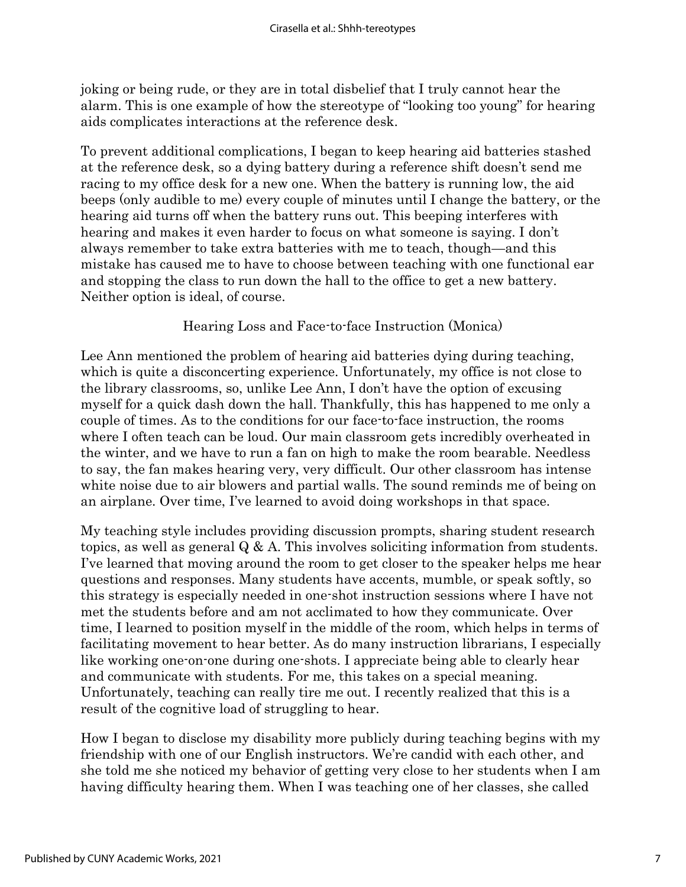joking or being rude, or they are in total disbelief that I truly cannot hear the alarm. This is one example of how the stereotype of "looking too young" for hearing aids complicates interactions at the reference desk.

To prevent additional complications, I began to keep hearing aid batteries stashed at the reference desk, so a dying battery during a reference shift doesn't send me racing to my office desk for a new one. When the battery is running low, the aid beeps (only audible to me) every couple of minutes until I change the battery, or the hearing aid turns off when the battery runs out. This beeping interferes with hearing and makes it even harder to focus on what someone is saying. I don't always remember to take extra batteries with me to teach, though—and this mistake has caused me to have to choose between teaching with one functional ear and stopping the class to run down the hall to the office to get a new battery. Neither option is ideal, of course.

#### Hearing Loss and Face-to-face Instruction (Monica)

Lee Ann mentioned the problem of hearing aid batteries dying during teaching, which is quite a disconcerting experience. Unfortunately, my office is not close to the library classrooms, so, unlike Lee Ann, I don't have the option of excusing myself for a quick dash down the hall. Thankfully, this has happened to me only a couple of times. As to the conditions for our face-to-face instruction, the rooms where I often teach can be loud. Our main classroom gets incredibly overheated in the winter, and we have to run a fan on high to make the room bearable. Needless to say, the fan makes hearing very, very difficult. Our other classroom has intense white noise due to air blowers and partial walls. The sound reminds me of being on an airplane. Over time, I've learned to avoid doing workshops in that space.

My teaching style includes providing discussion prompts, sharing student research topics, as well as general Q & A. This involves soliciting information from students. I've learned that moving around the room to get closer to the speaker helps me hear questions and responses. Many students have accents, mumble, or speak softly, so this strategy is especially needed in one-shot instruction sessions where I have not met the students before and am not acclimated to how they communicate. Over time, I learned to position myself in the middle of the room, which helps in terms of facilitating movement to hear better. As do many instruction librarians, I especially like working one-on-one during one-shots. I appreciate being able to clearly hear and communicate with students. For me, this takes on a special meaning. Unfortunately, teaching can really tire me out. I recently realized that this is a result of the cognitive load of struggling to hear.

How I began to disclose my disability more publicly during teaching begins with my friendship with one of our English instructors. We're candid with each other, and she told me she noticed my behavior of getting very close to her students when I am having difficulty hearing them. When I was teaching one of her classes, she called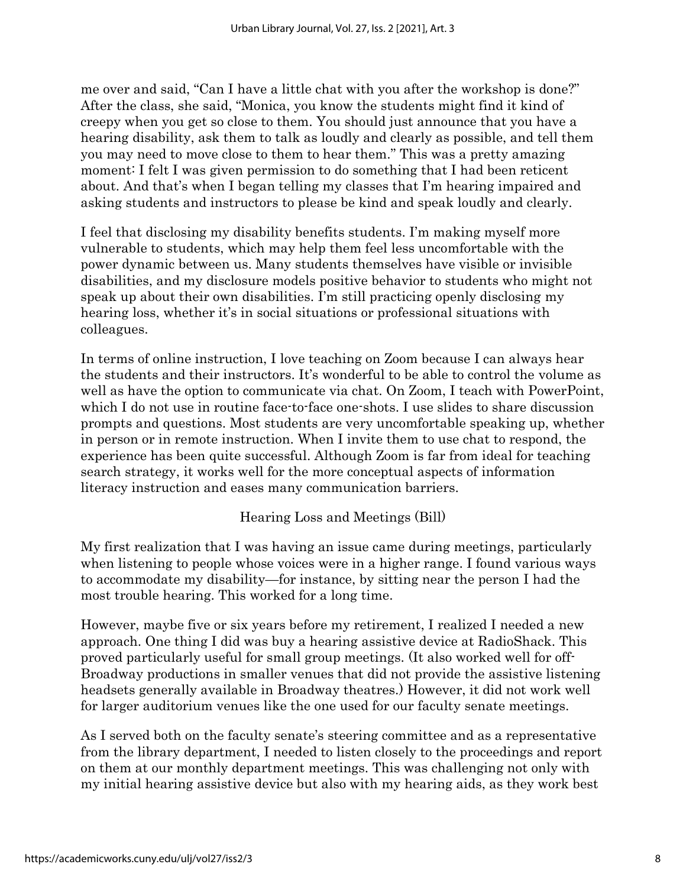me over and said, "Can I have a little chat with you after the workshop is done?" After the class, she said, "Monica, you know the students might find it kind of creepy when you get so close to them. You should just announce that you have a hearing disability, ask them to talk as loudly and clearly as possible, and tell them you may need to move close to them to hear them." This was a pretty amazing moment: I felt I was given permission to do something that I had been reticent about. And that's when I began telling my classes that I'm hearing impaired and asking students and instructors to please be kind and speak loudly and clearly.

I feel that disclosing my disability benefits students. I'm making myself more vulnerable to students, which may help them feel less uncomfortable with the power dynamic between us. Many students themselves have visible or invisible disabilities, and my disclosure models positive behavior to students who might not speak up about their own disabilities. I'm still practicing openly disclosing my hearing loss, whether it's in social situations or professional situations with colleagues.

In terms of online instruction, I love teaching on Zoom because I can always hear the students and their instructors. It's wonderful to be able to control the volume as well as have the option to communicate via chat. On Zoom, I teach with PowerPoint, which I do not use in routine face-to-face one-shots. I use slides to share discussion prompts and questions. Most students are very uncomfortable speaking up, whether in person or in remote instruction. When I invite them to use chat to respond, the experience has been quite successful. Although Zoom is far from ideal for teaching search strategy, it works well for the more conceptual aspects of information literacy instruction and eases many communication barriers.

Hearing Loss and Meetings (Bill)

My first realization that I was having an issue came during meetings, particularly when listening to people whose voices were in a higher range. I found various ways to accommodate my disability—for instance, by sitting near the person I had the most trouble hearing. This worked for a long time.

However, maybe five or six years before my retirement, I realized I needed a new approach. One thing I did was buy a hearing assistive device at RadioShack. This proved particularly useful for small group meetings. (It also worked well for off-Broadway productions in smaller venues that did not provide the assistive listening headsets generally available in Broadway theatres.) However, it did not work well for larger auditorium venues like the one used for our faculty senate meetings.

As I served both on the faculty senate's steering committee and as a representative from the library department, I needed to listen closely to the proceedings and report on them at our monthly department meetings. This was challenging not only with my initial hearing assistive device but also with my hearing aids, as they work best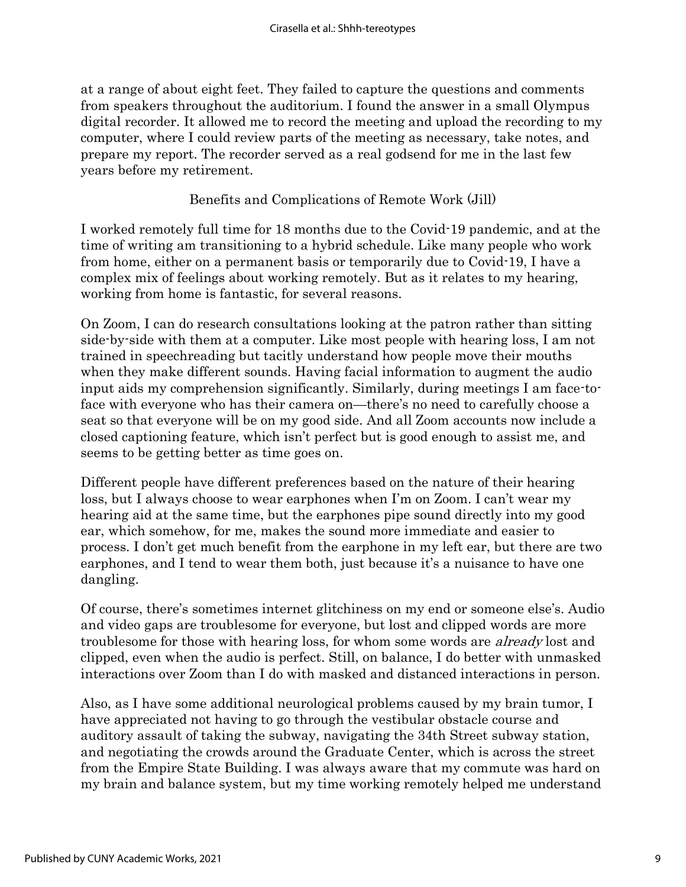at a range of about eight feet. They failed to capture the questions and comments from speakers throughout the auditorium. I found the answer in a small Olympus digital recorder. It allowed me to record the meeting and upload the recording to my computer, where I could review parts of the meeting as necessary, take notes, and prepare my report. The recorder served as a real godsend for me in the last few years before my retirement.

Benefits and Complications of Remote Work (Jill)

I worked remotely full time for 18 months due to the Covid-19 pandemic, and at the time of writing am transitioning to a hybrid schedule. Like many people who work from home, either on a permanent basis or temporarily due to Covid-19, I have a complex mix of feelings about working remotely. But as it relates to my hearing, working from home is fantastic, for several reasons.

On Zoom, I can do research consultations looking at the patron rather than sitting side-by-side with them at a computer. Like most people with hearing loss, I am not trained in speechreading but tacitly understand how people move their mouths when they make different sounds. Having facial information to augment the audio input aids my comprehension significantly. Similarly, during meetings I am face-toface with everyone who has their camera on—there's no need to carefully choose a seat so that everyone will be on my good side. And all Zoom accounts now include a closed captioning feature, which isn't perfect but is good enough to assist me, and seems to be getting better as time goes on.

Different people have different preferences based on the nature of their hearing loss, but I always choose to wear earphones when I'm on Zoom. I can't wear my hearing aid at the same time, but the earphones pipe sound directly into my good ear, which somehow, for me, makes the sound more immediate and easier to process. I don't get much benefit from the earphone in my left ear, but there are two earphones, and I tend to wear them both, just because it's a nuisance to have one dangling.

Of course, there's sometimes internet glitchiness on my end or someone else's. Audio and video gaps are troublesome for everyone, but lost and clipped words are more troublesome for those with hearing loss, for whom some words are already lost and clipped, even when the audio is perfect. Still, on balance, I do better with unmasked interactions over Zoom than I do with masked and distanced interactions in person.

Also, as I have some additional neurological problems caused by my brain tumor, I have appreciated not having to go through the vestibular obstacle course and auditory assault of taking the subway, navigating the 34th Street subway station, and negotiating the crowds around the Graduate Center, which is across the street from the Empire State Building. I was always aware that my commute was hard on my brain and balance system, but my time working remotely helped me understand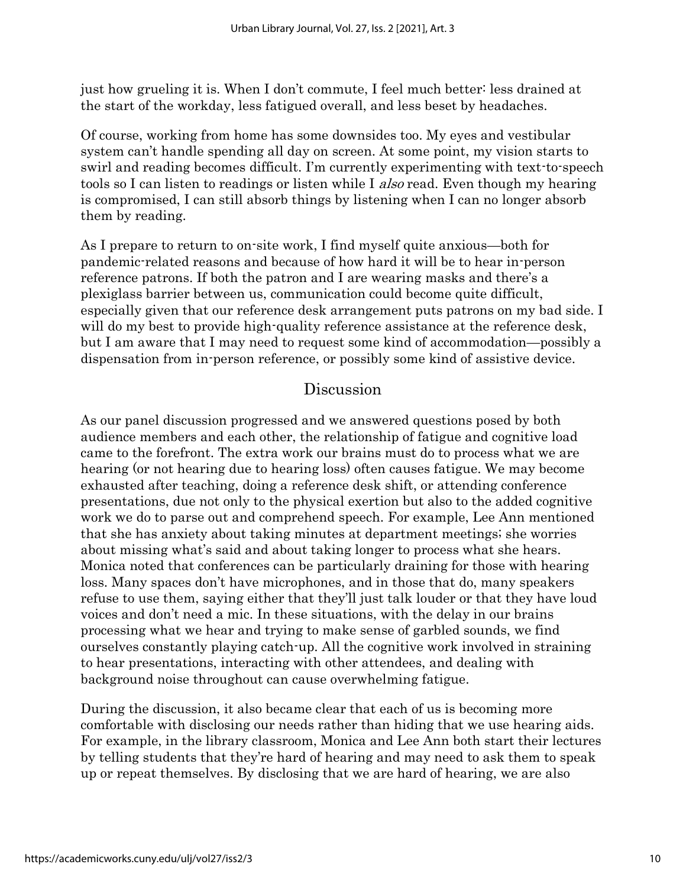just how grueling it is. When I don't commute, I feel much better: less drained at the start of the workday, less fatigued overall, and less beset by headaches.

Of course, working from home has some downsides too. My eyes and vestibular system can't handle spending all day on screen. At some point, my vision starts to swirl and reading becomes difficult. I'm currently experimenting with text-to-speech tools so I can listen to readings or listen while I *also* read. Even though my hearing is compromised, I can still absorb things by listening when I can no longer absorb them by reading.

As I prepare to return to on-site work, I find myself quite anxious—both for pandemic-related reasons and because of how hard it will be to hear in-person reference patrons. If both the patron and I are wearing masks and there's a plexiglass barrier between us, communication could become quite difficult, especially given that our reference desk arrangement puts patrons on my bad side. I will do my best to provide high-quality reference assistance at the reference desk, but I am aware that I may need to request some kind of accommodation—possibly a dispensation from in-person reference, or possibly some kind of assistive device.

#### Discussion

As our panel discussion progressed and we answered questions posed by both audience members and each other, the relationship of fatigue and cognitive load came to the forefront. The extra work our brains must do to process what we are hearing (or not hearing due to hearing loss) often causes fatigue. We may become exhausted after teaching, doing a reference desk shift, or attending conference presentations, due not only to the physical exertion but also to the added cognitive work we do to parse out and comprehend speech. For example, Lee Ann mentioned that she has anxiety about taking minutes at department meetings; she worries about missing what's said and about taking longer to process what she hears. Monica noted that conferences can be particularly draining for those with hearing loss. Many spaces don't have microphones, and in those that do, many speakers refuse to use them, saying either that they'll just talk louder or that they have loud voices and don't need a mic. In these situations, with the delay in our brains processing what we hear and trying to make sense of garbled sounds, we find ourselves constantly playing catch-up. All the cognitive work involved in straining to hear presentations, interacting with other attendees, and dealing with background noise throughout can cause overwhelming fatigue.

During the discussion, it also became clear that each of us is becoming more comfortable with disclosing our needs rather than hiding that we use hearing aids. For example, in the library classroom, Monica and Lee Ann both start their lectures by telling students that they're hard of hearing and may need to ask them to speak up or repeat themselves. By disclosing that we are hard of hearing, we are also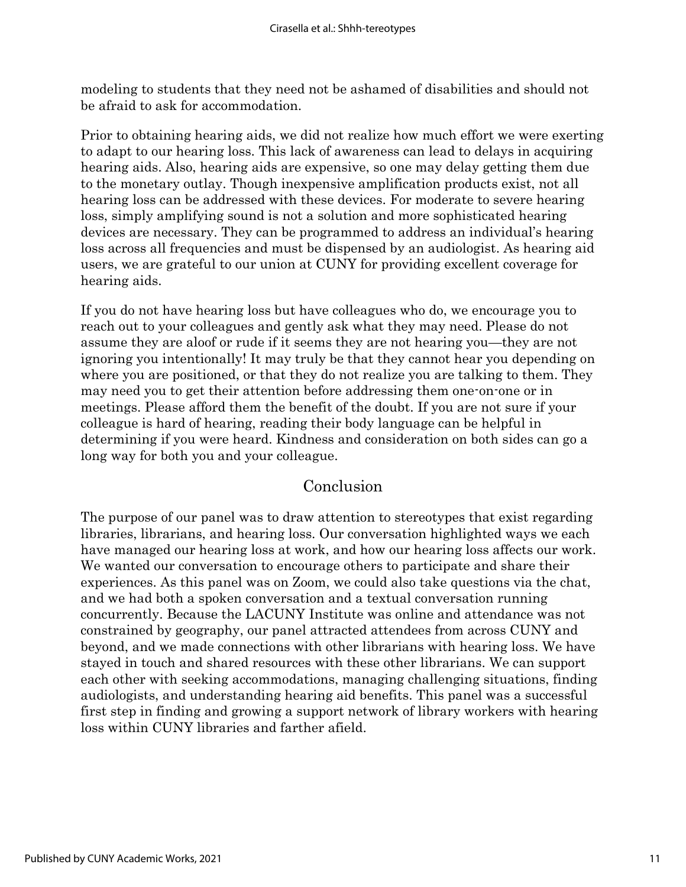modeling to students that they need not be ashamed of disabilities and should not be afraid to ask for accommodation.

Prior to obtaining hearing aids, we did not realize how much effort we were exerting to adapt to our hearing loss. This lack of awareness can lead to delays in acquiring hearing aids. Also, hearing aids are expensive, so one may delay getting them due to the monetary outlay. Though inexpensive amplification products exist, not all hearing loss can be addressed with these devices. For moderate to severe hearing loss, simply amplifying sound is not a solution and more sophisticated hearing devices are necessary. They can be programmed to address an individual's hearing loss across all frequencies and must be dispensed by an audiologist. As hearing aid users, we are grateful to our union at CUNY for providing excellent coverage for hearing aids.

If you do not have hearing loss but have colleagues who do, we encourage you to reach out to your colleagues and gently ask what they may need. Please do not assume they are aloof or rude if it seems they are not hearing you—they are not ignoring you intentionally! It may truly be that they cannot hear you depending on where you are positioned, or that they do not realize you are talking to them. They may need you to get their attention before addressing them one-on-one or in meetings. Please afford them the benefit of the doubt. If you are not sure if your colleague is hard of hearing, reading their body language can be helpful in determining if you were heard. Kindness and consideration on both sides can go a long way for both you and your colleague.

#### Conclusion

The purpose of our panel was to draw attention to stereotypes that exist regarding libraries, librarians, and hearing loss. Our conversation highlighted ways we each have managed our hearing loss at work, and how our hearing loss affects our work. We wanted our conversation to encourage others to participate and share their experiences. As this panel was on Zoom, we could also take questions via the chat, and we had both a spoken conversation and a textual conversation running concurrently. Because the LACUNY Institute was online and attendance was not constrained by geography, our panel attracted attendees from across CUNY and beyond, and we made connections with other librarians with hearing loss. We have stayed in touch and shared resources with these other librarians. We can support each other with seeking accommodations, managing challenging situations, finding audiologists, and understanding hearing aid benefits. This panel was a successful first step in finding and growing a support network of library workers with hearing loss within CUNY libraries and farther afield.